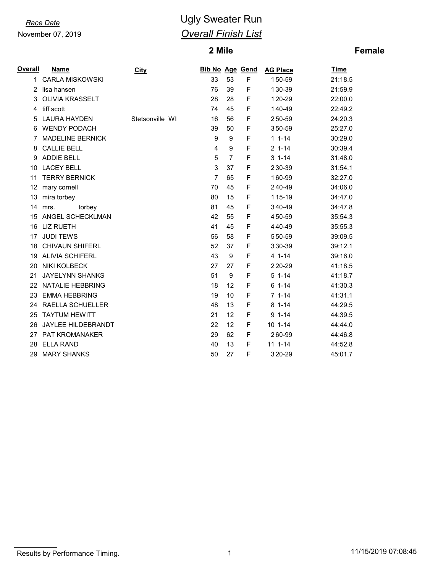November 07, 2019

# *Race Date* **CONSISTENT CONSISTENT** Ugly Sweater Run *Overall Finish List*

## **Mile**

## **Female**

| Overall | <b>Name</b>             | <b>City</b>     | <b>Bib No Age Gend</b> |                |   | <b>AG Place</b> | <b>Time</b> |
|---------|-------------------------|-----------------|------------------------|----------------|---|-----------------|-------------|
| 1       | <b>CARLA MISKOWSKI</b>  |                 | 33                     | 53             | F | 150-59          | 21:18.5     |
| 2       | lisa hansen             |                 | 76                     | 39             | F | 130-39          | 21:59.9     |
| 3       | <b>OLIVIA KRASSELT</b>  |                 | 28                     | 28             | F | 120-29          | 22:00.0     |
| 4       | tiff scott              |                 | 74                     | 45             | F | 140-49          | 22:49.2     |
| 5       | <b>LAURA HAYDEN</b>     | Stetsonville WI | 16                     | 56             | F | 250-59          | 24:20.3     |
| 6       | <b>WENDY PODACH</b>     |                 | 39                     | 50             | F | 350-59          | 25:27.0     |
| 7       | <b>MADELINE BERNICK</b> |                 | 9                      | 9              | F | $11 - 14$       | 30:29.0     |
| 8       | <b>CALLIE BELL</b>      |                 | 4                      | 9              | F | $2 1 - 14$      | 30:39.4     |
| 9       | <b>ADDIE BELL</b>       |                 | 5                      | $\overline{7}$ | F | $31 - 14$       | 31:48.0     |
| 10      | <b>LACEY BELL</b>       |                 | 3                      | 37             | F | 230-39          | 31:54.1     |
| 11      | <b>TERRY BERNICK</b>    |                 | 7                      | 65             | F | 160-99          | 32:27.0     |
| 12      | mary cornell            |                 | 70                     | 45             | F | 240-49          | 34:06.0     |
| 13      | mira torbey             |                 | 80                     | 15             | F | 115-19          | 34:47.0     |
| 14      | torbey<br>mrs.          |                 | 81                     | 45             | F | 340-49          | 34:47.8     |
| 15      | ANGEL SCHECKLMAN        |                 | 42                     | 55             | F | 450-59          | 35:54.3     |
| 16      | <b>LIZ RUETH</b>        |                 | 41                     | 45             | F | 440-49          | 35:55.3     |
| 17      | <b>JUDI TEWS</b>        |                 | 56                     | 58             | F | 550-59          | 39:09.5     |
| 18      | <b>CHIVAUN SHIFERL</b>  |                 | 52                     | 37             | F | 330-39          | 39:12.1     |
| 19      | <b>ALIVIA SCHIFERL</b>  |                 | 43                     | 9              | F | $41 - -14$      | 39:16.0     |
| 20      | <b>NIKI KOLBECK</b>     |                 | 27                     | 27             | F | 220-29          | 41:18.5     |
| 21      | <b>JAYELYNN SHANKS</b>  |                 | 51                     | 9              | F | $51-14$         | 41:18.7     |
| 22      | <b>NATALIE HEBBRING</b> |                 | 18                     | 12             | F | $61 - 14$       | 41:30.3     |
| 23      | <b>EMMA HEBBRING</b>    |                 | 19                     | 10             | F | $71-14$         | 41:31.1     |
| 24      | RAELLA SCHUELLER        |                 | 48                     | 13             | F | $81 - 14$       | 44:29.5     |
| 25      | <b>TAYTUM HEWITT</b>    |                 | 21                     | 12             | F | $91 - 14$       | 44:39.5     |
| 26      | JAYLEE HILDEBRANDT      |                 | 22                     | 12             | F | $101 - -14$     | 44:44.0     |
| 27      | PAT KROMANAKER          |                 | 29                     | 62             | F | 260-99          | 44:46.8     |
| 28      | <b>ELLA RAND</b>        |                 | 40                     | 13             | F | $111 - 14$      | 44:52.8     |
| 29      | <b>MARY SHANKS</b>      |                 | 50                     | 27             | F | 320-29          | 45:01.7     |

Results by Performance Timing. 2001 120 MHz (11/15/2019 07:08:45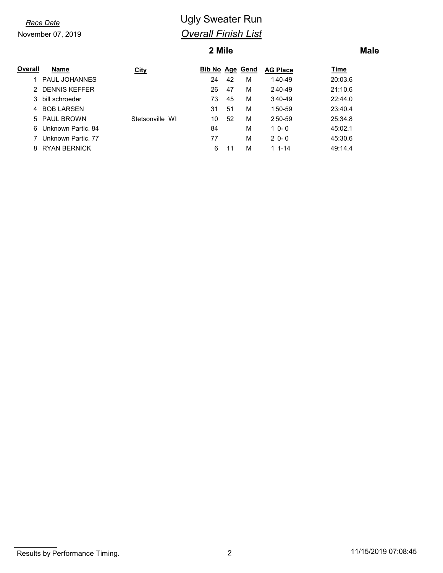November 07, 2019

# *Race Date* **CONSISTENT CONSISTENT** Ugly Sweater Run *Overall Finish List*

## **2 Mile**

## **Male**

| Overall | Name                | <b>City</b>     | <b>Bib No Age Gend</b> |    |   | <b>AG Place</b> | <u>Time</u> |
|---------|---------------------|-----------------|------------------------|----|---|-----------------|-------------|
|         | PAUL JOHANNES       |                 | 24                     | 42 | М | 140-49          | 20:03.6     |
|         | 2 DENNIS KEFFER     |                 | 26                     | 47 | М | 240-49          | 21:10.6     |
|         | 3 bill schroeder    |                 | 73                     | 45 | М | 340-49          | 22:44.0     |
|         | 4 BOB LARSEN        |                 | 31                     | 51 | М | 150-59          | 23:40.4     |
|         | 5 PAUL BROWN        | Stetsonville WI | 10                     | 52 | М | 250-59          | 25:34.8     |
| 6.      | Unknown Partic, 84  |                 | 84                     |    | М | $10 - 0$        | 45:02.1     |
|         | Unknown Partic. 77  |                 | 77                     |    | М | $20 - 0$        | 45:30.6     |
| 8       | <b>RYAN BERNICK</b> |                 | 6                      |    | М | $11 - 14$       | 49:14.4     |

Results by Performance Timing. 2 2 11/15/2019 07:08:45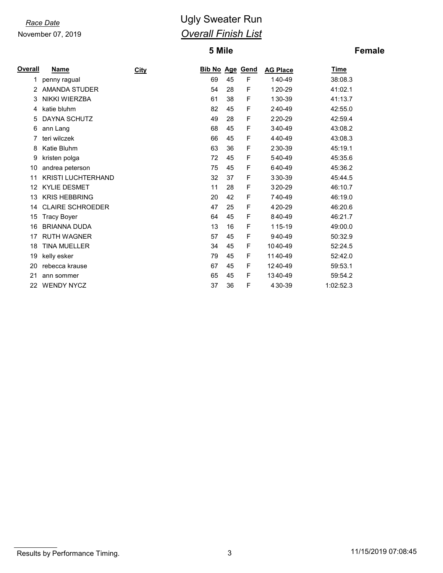### Race Date

November 07, 2019

# **Ugly Sweater Run Overall Finish List**

## 5 Mile

## **Female**

| Overall | <b>Name</b>               | <b>City</b> | <b>Bib No Age Gend</b> |    |   | <b>AG Place</b> | <u>Time</u> |
|---------|---------------------------|-------------|------------------------|----|---|-----------------|-------------|
| 1       | penny ragual              |             | 69                     | 45 | F | 140-49          | 38:08.3     |
|         | <b>AMANDA STUDER</b>      |             | 54                     | 28 | F | 120-29          | 41:02.1     |
| 3       | NIKKI WIERZBA             |             | 61                     | 38 | F | 130-39          | 41:13.7     |
| 4       | katie bluhm               |             | 82                     | 45 | F | 240-49          | 42:55.0     |
| 5       | <b>DAYNA SCHUTZ</b>       |             | 49                     | 28 | F | 220-29          | 42:59.4     |
| 6       | ann Lang                  |             | 68                     | 45 | F | 340-49          | 43:08.2     |
|         | teri wilczek              |             | 66                     | 45 | F | 440-49          | 43:08.3     |
| 8       | Katie Bluhm               |             | 63                     | 36 | F | 230-39          | 45:19.1     |
| 9       | kristen polga             |             | 72                     | 45 | F | 540-49          | 45:35.6     |
| 10      | andrea peterson           |             | 75                     | 45 | F | 640-49          | 45:36.2     |
| 11      | <b>KRISTI LUCHTERHAND</b> |             | 32                     | 37 | F | 330-39          | 45:44.5     |
| 12      | <b>KYLIE DESMET</b>       |             | 11                     | 28 | F | 320-29          | 46:10.7     |
| 13      | <b>KRIS HEBBRING</b>      |             | 20                     | 42 | F | 740-49          | 46:19.0     |
| 14      | <b>CLAIRE SCHROEDER</b>   |             | 47                     | 25 | F | 420-29          | 46:20.6     |
| 15      | <b>Tracy Boyer</b>        |             | 64                     | 45 | F | 840-49          | 46:21.7     |
| 16      | <b>BRIANNA DUDA</b>       |             | 13                     | 16 | F | 115-19          | 49:00.0     |
| 17      | <b>RUTH WAGNER</b>        |             | 57                     | 45 | F | 940-49          | 50:32.9     |
| 18      | <b>TINA MUELLER</b>       |             | 34                     | 45 | F | 1040-49         | 52:24.5     |
| 19      | kelly esker               |             | 79                     | 45 | F | 1140-49         | 52:42.0     |
| 20      | rebecca krause            |             | 67                     | 45 | F | 1240-49         | 59:53.1     |
| 21      | ann sommer                |             | 65                     | 45 | F | 1340-49         | 59:54.2     |
| 22      | <b>WENDY NYCZ</b>         |             | 37                     | 36 | F | 430-39          | 1:02:52.3   |

Results by Performance Timing.